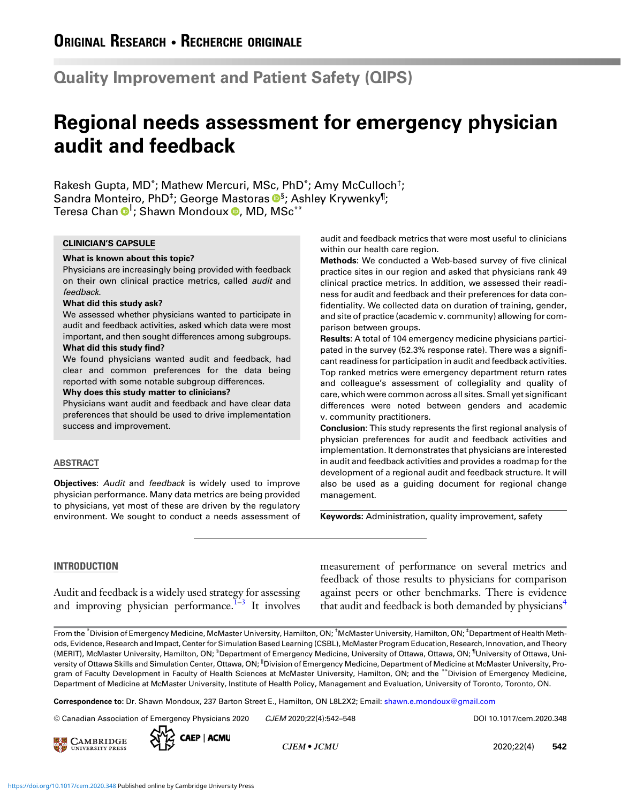# Quality Improvement and Patient Safety (QIPS)

# Regional needs assessment for emergency physician audit and feedback

Rakesh Gupta, MD\*; Mathew Mercuri, MSc, PhD\*; Amy McCulloch†; Sandra Monteiro, PhD<sup>‡</sup>; George Mastoras <sup>®[§](https://orcid.org/0000-0002-9363-7734)</sup>; Ashley Krywenky<sup>¶</sup>; Teresa Chan <sup>ne</sup>; Shawn Mondoux <sup>n</sup>, MD, MSc<sup>\*\*</sup>

#### CLINICIAN'S CAPSULE

#### What is known about this topic?

Physicians are increasingly being provided with feedback on their own clinical practice metrics, called *audit* and feedback.

#### What did this study ask?

We assessed whether physicians wanted to participate in audit and feedback activities, asked which data were most important, and then sought differences among subgroups.

# What did this study find?

We found physicians wanted audit and feedback, had clear and common preferences for the data being reported with some notable subgroup differences.

#### Why does this study matter to clinicians?

Physicians want audit and feedback and have clear data preferences that should be used to drive implementation success and improvement.

#### ABSTRACT

Objectives: Audit and feedback is widely used to improve physician performance. Many data metrics are being provided to physicians, yet most of these are driven by the regulatory environment. We sought to conduct a needs assessment of audit and feedback metrics that were most useful to clinicians within our health care region.

Methods: We conducted a Web-based survey of five clinical practice sites in our region and asked that physicians rank 49 clinical practice metrics. In addition, we assessed their readiness for audit and feedback and their preferences for data confidentiality. We collected data on duration of training, gender, and site of practice (academic v. community) allowing for comparison between groups.

Results: A total of 104 emergency medicine physicians participated in the survey (52.3% response rate). There was a significant readiness for participation in audit and feedback activities. Top ranked metrics were emergency department return rates and colleague's assessment of collegiality and quality of care, which were common across all sites. Small yet significant differences were noted between genders and academic v. community practitioners.

Conclusion: This study represents the first regional analysis of physician preferences for audit and feedback activities and implementation. It demonstrates that physicians are interested in audit and feedback activities and provides a roadmap for the development of a regional audit and feedback structure. It will also be used as a guiding document for regional change management.

Keywords: Administration, quality improvement, safety

#### INTRODUCTION

Audit and feedback is a widely used strategy for assessing and improving physician performance.<sup>1-[3](#page-6-0)</sup> It involves measurement of performance on several metrics and feedback of those results to physicians for comparison against peers or other benchmarks. There is evidence that audit and feedback is both demanded by physicians<sup>4</sup>

From the \* Division of Emergency Medicine, McMaster University, Hamilton, ON; † McMaster University, Hamilton, ON; ‡ Department of Health Methods, Evidence, Research and Impact, Center for Simulation Based Learning (CSBL), McMaster Program Education, Research, Innovation, and Theory (MERIT), McMaster University, Hamilton, ON; <sup>s</sup>Department of Emergency Medicine, University of Ottawa, Ottawa, ON; <sup>¶</sup>University of Ottawa, University of Ottawa Skills and Simulation Center, Ottawa, ON; <sup>Il</sup>Division of Emergency Medicine, Department of Medicine at McMaster University, Program of Faculty Development in Faculty of Health Sciences at McMaster University, Hamilton, ON; and the \*\*Division of Emergency Medicine, Department of Medicine at McMaster University, Institute of Health Policy, Management and Evaluation, University of Toronto, Toronto, ON.

Correspondence to: Dr. Shawn Mondoux, 237 Barton Street E., Hamilton, ON L8L2X2; Email: [shawn.e.mondoux@gmail.com](mailto:shawn.e.mondoux@gmail.com)

© Canadian Association of Emergency Physicians 2020 CJEM 2020;22(4):542–548 DOI 10.1017/cem.2020.348

**CAMBRIDGE UNIVERSITY PRESS** 



CJEM • JCMU 2020;22(4) 542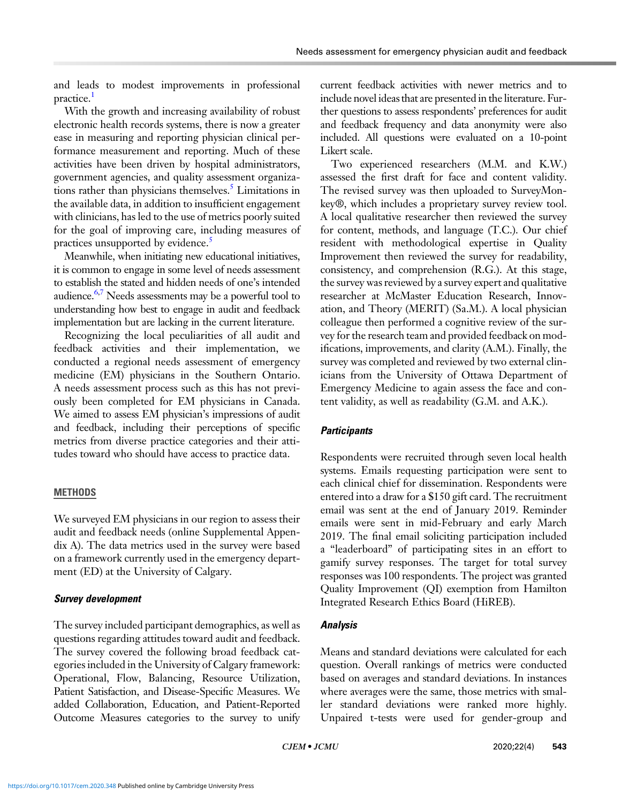and leads to modest improvements in professional practice.<sup>[1](#page-6-0)</sup>

With the growth and increasing availability of robust electronic health records systems, there is now a greater ease in measuring and reporting physician clinical performance measurement and reporting. Much of these activities have been driven by hospital administrators, government agencies, and quality assessment organizations rather than physicians themselves. $5$  Limitations in the available data, in addition to insufficient engagement with clinicians, has led to the use of metrics poorly suited for the goal of improving care, including measures of practices unsupported by evidence.<sup>[5](#page-6-0)</sup>

Meanwhile, when initiating new educational initiatives, it is common to engage in some level of needs assessment to establish the stated and hidden needs of one's intended audience.<sup>[6,7](#page-6-0)</sup> Needs assessments may be a powerful tool to understanding how best to engage in audit and feedback implementation but are lacking in the current literature.

Recognizing the local peculiarities of all audit and feedback activities and their implementation, we conducted a regional needs assessment of emergency medicine (EM) physicians in the Southern Ontario. A needs assessment process such as this has not previously been completed for EM physicians in Canada. We aimed to assess EM physician's impressions of audit and feedback, including their perceptions of specific metrics from diverse practice categories and their attitudes toward who should have access to practice data.

# **METHODS**

We surveyed EM physicians in our region to assess their audit and feedback needs (online Supplemental Appendix A). The data metrics used in the survey were based on a framework currently used in the emergency department (ED) at the University of Calgary.

# Survey development

The survey included participant demographics, as well as questions regarding attitudes toward audit and feedback. The survey covered the following broad feedback categories included in the University of Calgary framework: Operational, Flow, Balancing, Resource Utilization, Patient Satisfaction, and Disease-Specific Measures. We added Collaboration, Education, and Patient-Reported Outcome Measures categories to the survey to unify current feedback activities with newer metrics and to include novel ideas that are presented in the literature. Further questions to assess respondents' preferences for audit and feedback frequency and data anonymity were also included. All questions were evaluated on a 10-point Likert scale.

Two experienced researchers (M.M. and K.W.) assessed the first draft for face and content validity. The revised survey was then uploaded to SurveyMonkey®, which includes a proprietary survey review tool. A local qualitative researcher then reviewed the survey for content, methods, and language (T.C.). Our chief resident with methodological expertise in Quality Improvement then reviewed the survey for readability, consistency, and comprehension (R.G.). At this stage, the survey was reviewed by a survey expert and qualitative researcher at McMaster Education Research, Innovation, and Theory (MERIT) (Sa.M.). A local physician colleague then performed a cognitive review of the survey for the research team and provided feedback on modifications, improvements, and clarity (A.M.). Finally, the survey was completed and reviewed by two external clinicians from the University of Ottawa Department of Emergency Medicine to again assess the face and content validity, as well as readability (G.M. and A.K.).

# **Participants**

Respondents were recruited through seven local health systems. Emails requesting participation were sent to each clinical chief for dissemination. Respondents were entered into a draw for a \$150 gift card. The recruitment email was sent at the end of January 2019. Reminder emails were sent in mid-February and early March 2019. The final email soliciting participation included a "leaderboard" of participating sites in an effort to gamify survey responses. The target for total survey responses was 100 respondents. The project was granted Quality Improvement (QI) exemption from Hamilton Integrated Research Ethics Board (HiREB).

# Analysis

Means and standard deviations were calculated for each question. Overall rankings of metrics were conducted based on averages and standard deviations. In instances where averages were the same, those metrics with smaller standard deviations were ranked more highly. Unpaired t-tests were used for gender-group and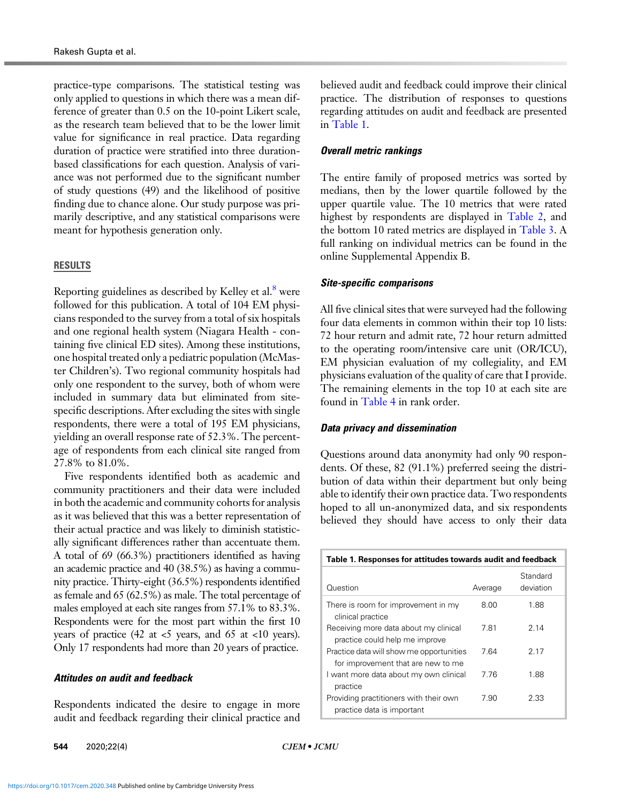practice-type comparisons. The statistical testing was only applied to questions in which there was a mean difference of greater than 0.5 on the 10-point Likert scale, as the research team believed that to be the lower limit value for significance in real practice. Data regarding duration of practice were stratified into three durationbased classifications for each question. Analysis of variance was not performed due to the significant number of study questions (49) and the likelihood of positive finding due to chance alone. Our study purpose was primarily descriptive, and any statistical comparisons were meant for hypothesis generation only.

#### RESULTS

Reporting guidelines as described by Kelley et al. $\frac{8}{3}$  $\frac{8}{3}$  $\frac{8}{3}$  were followed for this publication. A total of 104 EM physicians responded to the survey from a total of six hospitals and one regional health system (Niagara Health - containing five clinical ED sites). Among these institutions, one hospital treated only a pediatric population (McMaster Children's). Two regional community hospitals had only one respondent to the survey, both of whom were included in summary data but eliminated from sitespecific descriptions. After excluding the sites with single respondents, there were a total of 195 EM physicians, yielding an overall response rate of 52.3%. The percentage of respondents from each clinical site ranged from 27.8% to 81.0%.

Five respondents identified both as academic and community practitioners and their data were included in both the academic and community cohorts for analysis as it was believed that this was a better representation of their actual practice and was likely to diminish statistically significant differences rather than accentuate them. A total of 69 (66.3%) practitioners identified as having an academic practice and 40 (38.5%) as having a community practice. Thirty-eight (36.5%) respondents identified as female and 65 (62.5%) as male. The total percentage of males employed at each site ranges from 57.1% to 83.3%. Respondents were for the most part within the first 10 years of practice  $(42 \text{ at } < 5 \text{ years})$ , and  $65 \text{ at } < 10 \text{ years})$ . Only 17 respondents had more than 20 years of practice.

# Attitudes on audit and feedback

Respondents indicated the desire to engage in more audit and feedback regarding their clinical practice and believed audit and feedback could improve their clinical practice. The distribution of responses to questions regarding attitudes on audit and feedback are presented in Table 1.

# Overall metric rankings

The entire family of proposed metrics was sorted by medians, then by the lower quartile followed by the upper quartile value. The 10 metrics that were rated highest by respondents are displayed in [Table 2,](#page-3-0) and the bottom 10 rated metrics are displayed in [Table 3](#page-3-0). A full ranking on individual metrics can be found in the online Supplemental Appendix B.

# Site-specific comparisons

All five clinical sites that were surveyed had the following four data elements in common within their top 10 lists: 72 hour return and admit rate, 72 hour return admitted to the operating room/intensive care unit (OR/ICU), EM physician evaluation of my collegiality, and EM physicians evaluation of the quality of care that I provide. The remaining elements in the top 10 at each site are found in [Table 4](#page-4-0) in rank order.

## Data privacy and dissemination

Questions around data anonymity had only 90 respondents. Of these, 82 (91.1%) preferred seeing the distribution of data within their department but only being able to identify their own practice data. Two respondents hoped to all un-anonymized data, and six respondents believed they should have access to only their data

| Table 1. Responses for attitudes towards audit and feedback                    |         |                       |  |
|--------------------------------------------------------------------------------|---------|-----------------------|--|
| Question                                                                       | Average | Standard<br>deviation |  |
| There is room for improvement in my<br>clinical practice                       | 8.00    | 1.88                  |  |
| Receiving more data about my clinical<br>practice could help me improve        | 781     | 2 14                  |  |
| Practice data will show me opportunities<br>for improvement that are new to me | 764     | 2 17                  |  |
| I want more data about my own clinical<br>practice                             | 7 76    | 1.88                  |  |
| Providing practitioners with their own<br>practice data is important           | 7.90    | 2.33                  |  |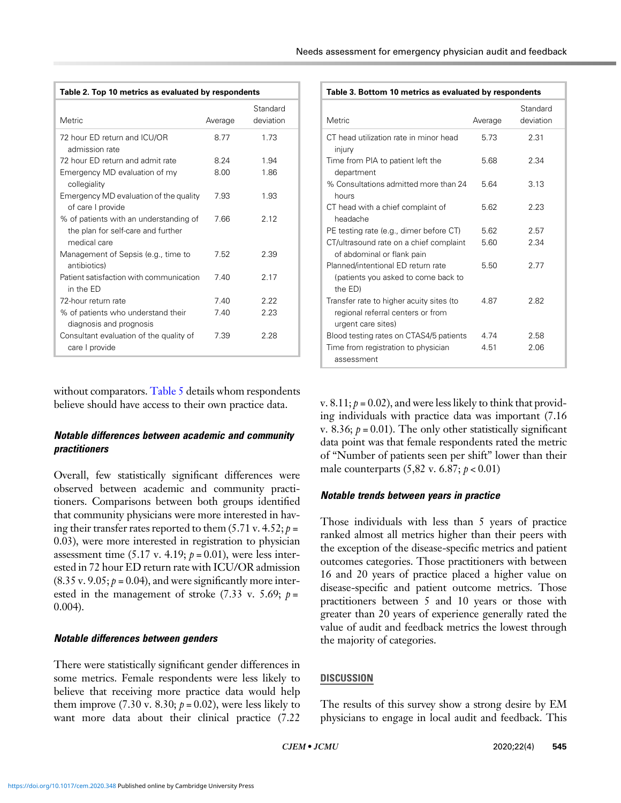|  | Needs assessment for emergency physician audit and feedback |  |  |
|--|-------------------------------------------------------------|--|--|
|  |                                                             |  |  |

<span id="page-3-0"></span>

| Table 2. Top 10 metrics as evaluated by respondents                                          |         |                       |  |  |
|----------------------------------------------------------------------------------------------|---------|-----------------------|--|--|
| Metric                                                                                       | Average | Standard<br>deviation |  |  |
| 72 hour ED return and ICU/OR<br>admission rate                                               | 8.77    | 1.73                  |  |  |
| 72 hour ED return and admit rate                                                             | 8.24    | 1.94                  |  |  |
| Emergency MD evaluation of my<br>collegiality                                                | 8.00    | 1.86                  |  |  |
| Emergency MD evaluation of the quality<br>of care I provide                                  | 7.93    | 1.93                  |  |  |
| % of patients with an understanding of<br>the plan for self-care and further<br>medical care | 7.66    | 2.12                  |  |  |
| Management of Sepsis (e.g., time to<br>antibiotics)                                          | 7.52    | 2.39                  |  |  |
| Patient satisfaction with communication<br>in the ED                                         | 740     | 2.17                  |  |  |
| 72-hour return rate                                                                          | 7.40    | 222                   |  |  |
| % of patients who understand their<br>diagnosis and prognosis                                | 7.40    | 2.23                  |  |  |
| Consultant evaluation of the quality of<br>care I provide                                    | 7.39    | 2.28                  |  |  |

without comparators. [Table 5](#page-4-0) details whom respondents believe should have access to their own practice data.

# Notable differences between academic and community practitioners

Overall, few statistically significant differences were observed between academic and community practitioners. Comparisons between both groups identified that community physicians were more interested in having their transfer rates reported to them  $(5.71 \text{ v. } 4.52; p =$ 0.03), were more interested in registration to physician assessment time  $(5.17 \text{ v. } 4.19; p = 0.01)$ , were less interested in 72 hour ED return rate with ICU/OR admission  $(8.35 \text{ v. } 9.05; p = 0.04)$ , and were significantly more interested in the management of stroke  $(7.33 \text{ v. } 5.69; p =$ 0.004).

#### Notable differences between genders

There were statistically significant gender differences in some metrics. Female respondents were less likely to believe that receiving more practice data would help them improve (7.30 v. 8.30;  $p = 0.02$ ), were less likely to want more data about their clinical practice (7.22

|  |  | Table 3. Bottom 10 metrics as evaluated by respondents |
|--|--|--------------------------------------------------------|
|--|--|--------------------------------------------------------|

| <b>Metric</b>                                                                                       | Average | Standard<br>deviation |
|-----------------------------------------------------------------------------------------------------|---------|-----------------------|
| CT head utilization rate in minor head<br>injury                                                    | 5 73    | 2.31                  |
| Time from PIA to patient left the<br>department                                                     | 5.68    | 2.34                  |
| % Consultations admitted more than 24<br>hours                                                      | 5.64    | 3.13                  |
| CT head with a chief complaint of<br>headache                                                       | 5.62    | 2.23                  |
| PE testing rate (e.g., dimer before CT)                                                             | 5.62    | 2.57                  |
| CT/ultrasound rate on a chief complaint<br>of abdominal or flank pain                               | 5.60    | 2.34                  |
| Planned/intentional ED return rate<br>(patients you asked to come back to<br>the ED)                | 5.50    | 2 77                  |
| Transfer rate to higher acuity sites (to<br>regional referral centers or from<br>urgent care sites) | 487     | 2.82                  |
| Blood testing rates on CTAS4/5 patients                                                             | 4.74    | 2.58                  |
| Time from registration to physician<br>assessment                                                   | 4.51    | 2.06                  |

v. 8.11;  $p = 0.02$ ), and were less likely to think that providing individuals with practice data was important (7.16 v. 8.36;  $p = 0.01$ ). The only other statistically significant data point was that female respondents rated the metric of "Number of patients seen per shift" lower than their male counterparts  $(5,82 \text{ v. } 6.87; p < 0.01)$ 

# Notable trends between years in practice

Those individuals with less than 5 years of practice ranked almost all metrics higher than their peers with the exception of the disease-specific metrics and patient outcomes categories. Those practitioners with between 16 and 20 years of practice placed a higher value on disease-specific and patient outcome metrics. Those practitioners between 5 and 10 years or those with greater than 20 years of experience generally rated the value of audit and feedback metrics the lowest through the majority of categories.

#### **DISCUSSION**

The results of this survey show a strong desire by EM physicians to engage in local audit and feedback. This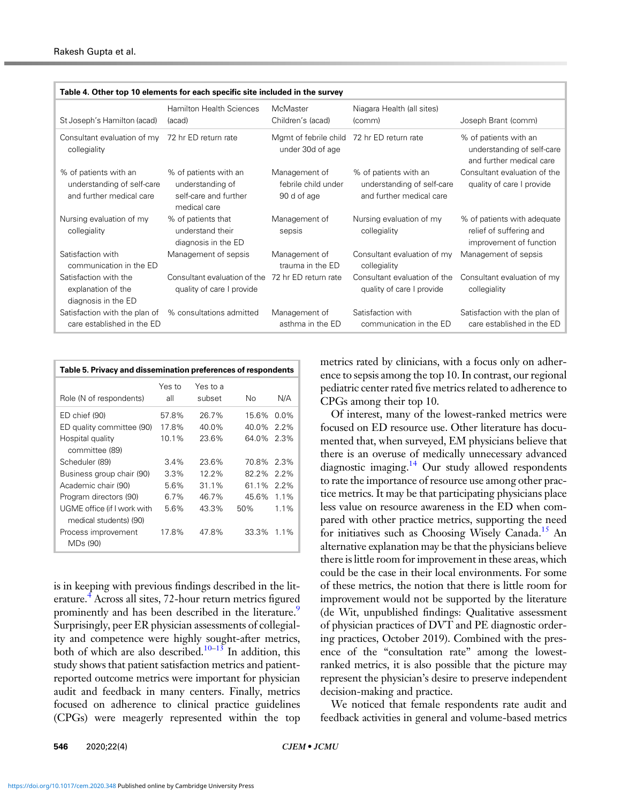<span id="page-4-0"></span>

| Table 4. Other top 10 elements for each specific site included in the survey    |                                                                                    |                                                                |                                                                                 |                                                                                   |  |
|---------------------------------------------------------------------------------|------------------------------------------------------------------------------------|----------------------------------------------------------------|---------------------------------------------------------------------------------|-----------------------------------------------------------------------------------|--|
| St Joseph's Hamilton (acad)                                                     | <b>Hamilton Health Sciences</b><br>(acad)                                          | McMaster<br>Children's (acad)                                  | Niagara Health (all sites)<br>(comm)                                            | Joseph Brant (comm)                                                               |  |
| Consultant evaluation of my 72 hr ED return rate<br>collegiality                |                                                                                    | Mamt of febrile child 72 hr ED return rate<br>under 30d of age |                                                                                 | % of patients with an<br>understanding of self-care<br>and further medical care   |  |
| % of patients with an<br>understanding of self-care<br>and further medical care | % of patients with an<br>understanding of<br>self-care and further<br>medical care | Management of<br>febrile child under<br>90 d of age            | % of patients with an<br>understanding of self-care<br>and further medical care | Consultant evaluation of the<br>quality of care I provide                         |  |
| Nursing evaluation of my<br>collegiality                                        | % of patients that<br>understand their<br>diagnosis in the ED                      | Management of<br>sepsis                                        | Nursing evaluation of my<br>collegiality                                        | % of patients with adequate<br>relief of suffering and<br>improvement of function |  |
| Satisfaction with<br>communication in the ED                                    | Management of sepsis                                                               | Management of<br>trauma in the ED                              | Consultant evaluation of my<br>collegiality                                     | Management of sepsis                                                              |  |
| Satisfaction with the<br>explanation of the<br>diagnosis in the ED              | Consultant evaluation of the 72 hr ED return rate<br>quality of care I provide     |                                                                | Consultant evaluation of the<br>quality of care I provide                       | Consultant evaluation of my<br>collegiality                                       |  |
| Satisfaction with the plan of<br>care established in the ED                     | % consultations admitted                                                           | Management of<br>asthma in the ED                              | Satisfaction with<br>communication in the ED                                    | Satisfaction with the plan of<br>care established in the ED                       |  |

| Table 5. Privacy and dissemination preferences of respondents |         |          |       |         |  |
|---------------------------------------------------------------|---------|----------|-------|---------|--|
|                                                               | Yes to  | Yes to a |       |         |  |
| Role (N of respondents)                                       | all     | subset   | No    | N/A     |  |
| ED chief (90)                                                 | 57.8%   | 26.7%    | 15.6% | $0.0\%$ |  |
| ED quality committee (90)                                     | 17.8%   | 40.0%    | 40.0% | $2.2\%$ |  |
| Hospital quality                                              | 10.1%   | 23.6%    | 64.0% | 2.3%    |  |
| committee (89)                                                |         |          |       |         |  |
| Scheduler (89)                                                | $3.4\%$ | 23.6%    | 70.8% | 2.3%    |  |
| Business group chair (90)                                     | $3.3\%$ | 12.2%    | 82.2% | $2.2\%$ |  |
| Academic chair (90)                                           | 5.6%    | 31.1%    | 61.1% | $2.2\%$ |  |
| Program directors (90)                                        | $6.7\%$ | 46.7%    | 45.6% | $1.1\%$ |  |
| UGME office (if I work with                                   | 5.6%    | 43.3%    | 50%   | $1.1\%$ |  |
| medical students) (90)                                        |         |          |       |         |  |
| Process improvement                                           | 17.8%   | 47.8%    | 33.3% | $1.1\%$ |  |
| MDs (90)                                                      |         |          |       |         |  |

is in keeping with previous findings described in the literature.<sup>4</sup> Across all sites, 72-hour return metrics figured prominently and has been described in the literature.<sup>[9](#page-6-0)</sup> Surprisingly, peer ER physician assessments of collegiality and competence were highly sought-after metrics, both of which are also described.<sup>[10](#page-6-0)–[13](#page-6-0)</sup> In addition, this study shows that patient satisfaction metrics and patientreported outcome metrics were important for physician audit and feedback in many centers. Finally, metrics focused on adherence to clinical practice guidelines (CPGs) were meagerly represented within the top metrics rated by clinicians, with a focus only on adherence to sepsis among the top 10. In contrast, our regional pediatric center rated five metrics related to adherence to CPGs among their top 10.

Of interest, many of the lowest-ranked metrics were focused on ED resource use. Other literature has documented that, when surveyed, EM physicians believe that there is an overuse of medically unnecessary advanced diagnostic imaging. $14$  Our study allowed respondents to rate the importance of resource use among other practice metrics. It may be that participating physicians place less value on resource awareness in the ED when compared with other practice metrics, supporting the need for initiatives such as Choosing Wisely Canada.<sup>[15](#page-6-0)</sup> An alternative explanation may be that the physicians believe there is little room for improvement in these areas, which could be the case in their local environments. For some of these metrics, the notion that there is little room for improvement would not be supported by the literature (de Wit, unpublished findings: Qualitative assessment of physician practices of DVT and PE diagnostic ordering practices, October 2019). Combined with the presence of the "consultation rate" among the lowestranked metrics, it is also possible that the picture may represent the physician's desire to preserve independent decision-making and practice.

We noticed that female respondents rate audit and feedback activities in general and volume-based metrics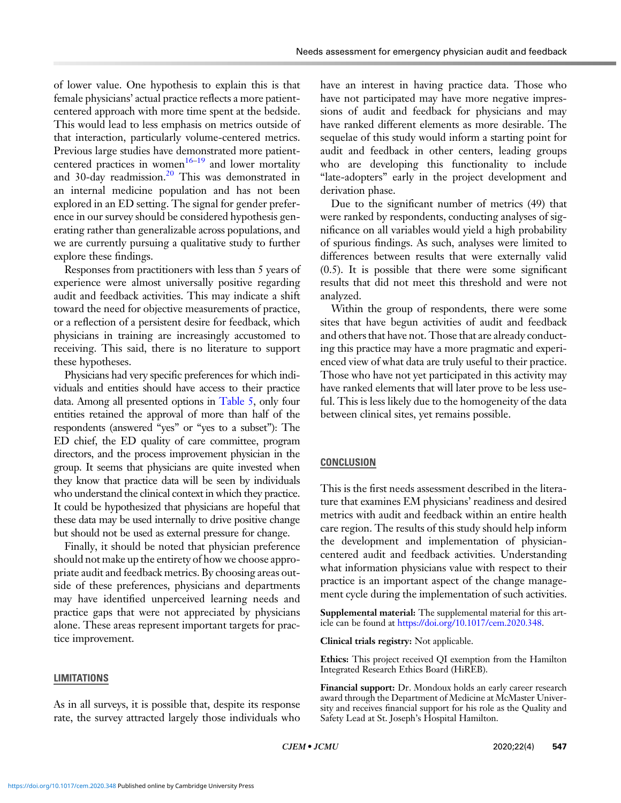of lower value. One hypothesis to explain this is that female physicians' actual practice reflects a more patientcentered approach with more time spent at the bedside. This would lead to less emphasis on metrics outside of that interaction, particularly volume-centered metrics. Previous large studies have demonstrated more patientcentered practices in women $16-19$  $16-19$  and lower mortality and 30-day readmission.[20](#page-6-0) This was demonstrated in an internal medicine population and has not been explored in an ED setting. The signal for gender preference in our survey should be considered hypothesis generating rather than generalizable across populations, and we are currently pursuing a qualitative study to further explore these findings.

Responses from practitioners with less than 5 years of experience were almost universally positive regarding audit and feedback activities. This may indicate a shift toward the need for objective measurements of practice, or a reflection of a persistent desire for feedback, which physicians in training are increasingly accustomed to receiving. This said, there is no literature to support these hypotheses.

Physicians had very specific preferences for which individuals and entities should have access to their practice data. Among all presented options in [Table 5,](#page-4-0) only four entities retained the approval of more than half of the respondents (answered "yes" or "yes to a subset"): The ED chief, the ED quality of care committee, program directors, and the process improvement physician in the group. It seems that physicians are quite invested when they know that practice data will be seen by individuals who understand the clinical context in which they practice. It could be hypothesized that physicians are hopeful that these data may be used internally to drive positive change but should not be used as external pressure for change.

Finally, it should be noted that physician preference should not make up the entirety of how we choose appropriate audit and feedback metrics. By choosing areas outside of these preferences, physicians and departments may have identified unperceived learning needs and practice gaps that were not appreciated by physicians alone. These areas represent important targets for practice improvement.

#### LIMITATIONS

As in all surveys, it is possible that, despite its response rate, the survey attracted largely those individuals who

have an interest in having practice data. Those who have not participated may have more negative impressions of audit and feedback for physicians and may have ranked different elements as more desirable. The sequelae of this study would inform a starting point for audit and feedback in other centers, leading groups who are developing this functionality to include "late-adopters" early in the project development and derivation phase.

Due to the significant number of metrics (49) that were ranked by respondents, conducting analyses of significance on all variables would yield a high probability of spurious findings. As such, analyses were limited to differences between results that were externally valid (0.5). It is possible that there were some significant results that did not meet this threshold and were not analyzed.

Within the group of respondents, there were some sites that have begun activities of audit and feedback and others that have not. Those that are already conducting this practice may have a more pragmatic and experienced view of what data are truly useful to their practice. Those who have not yet participated in this activity may have ranked elements that will later prove to be less useful. This is less likely due to the homogeneity of the data between clinical sites, yet remains possible.

## **CONCLUSION**

This is the first needs assessment described in the literature that examines EM physicians' readiness and desired metrics with audit and feedback within an entire health care region. The results of this study should help inform the development and implementation of physiciancentered audit and feedback activities. Understanding what information physicians value with respect to their practice is an important aspect of the change management cycle during the implementation of such activities.

Supplemental material: The supplemental material for this article can be found at <https://doi.org/10.1017/cem.2020.348>.

Clinical trials registry: Not applicable.

Ethics: This project received QI exemption from the Hamilton Integrated Research Ethics Board (HiREB).

Financial support: Dr. Mondoux holds an early career research award through the Department of Medicine at McMaster University and receives financial support for his role as the Quality and Safety Lead at St. Joseph's Hospital Hamilton.